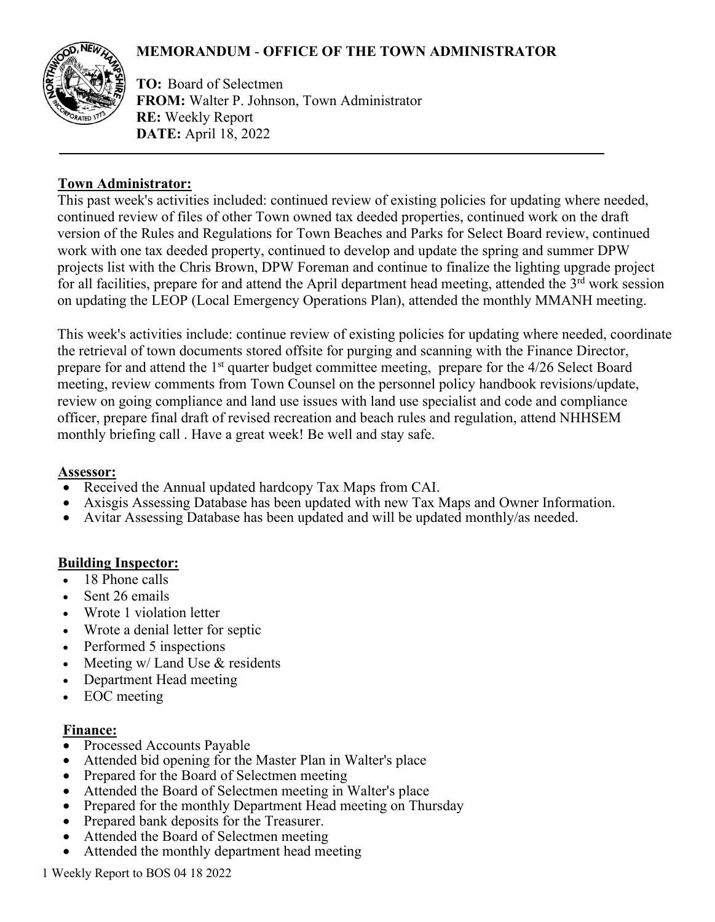# **MEMORANDUM** - **OFFICE OF THE TOWN ADMINISTRATOR**



**TO:** Board of Selectmen **FROM:** Walter P. Johnson, Town Administrator **RE:** Weekly Report **DATE:** April 18, 2022

### **Town Administrator:**

This past week's activities included: continued review of existing policies for updating where needed, continued review of files of other Town owned tax deeded properties, continued work on the draft version of the Rules and Regulations for Town Beaches and Parks for Select Board review, continued work with one tax deeded property, continued to develop and update the spring and summer DPW projects list with the Chris Brown, DPW Foreman and continue to finalize the lighting upgrade project for all facilities, prepare for and attend the April department head meeting, attended the 3<sup>rd</sup> work session on updating the LEOP (Local Emergency Operations Plan), attended the monthly MMANH meeting.

This week's activities include: continue review of existing policies for updating where needed, coordinate the retrieval of town documents stored offsite for purging and scanning with the Finance Director, prepare for and attend the 1<sup>st</sup> quarter budget committee meeting, prepare for the 4/26 Select Board meeting, review comments from Town Counsel on the personnel policy handbook revisions/update, review on going compliance and land use issues with land use specialist and code and compliance officer, prepare final draft of revised recreation and beach rules and regulation, attend NHHSEM monthly briefing call . Have a great week! Be well and stay safe.

#### **Assessor:**

- Received the Annual updated hardcopy Tax Maps from CAI.
- Axisgis Assessing Database has been updated with new Tax Maps and Owner Information.
- Avitar Assessing Database has been updated and will be updated monthly/as needed.

## **Building Inspector:**

- 18 Phone calls
- Sent 26 emails
- Wrote 1 violation letter
- Wrote a denial letter for septic
- Performed 5 inspections
- Meeting w/ Land Use & residents
- Department Head meeting
- EOC meeting

#### **Finance:**

- Processed Accounts Payable
- Attended bid opening for the Master Plan in Walter's place
- Prepared for the Board of Selectmen meeting
- Attended the Board of Selectmen meeting in Walter's place
- Prepared for the monthly Department Head meeting on Thursday
- Prepared bank deposits for the Treasurer.
- Attended the Board of Selectmen meeting
- Attended the monthly department head meeting

1 Weekly Report to BOS 04 18 2022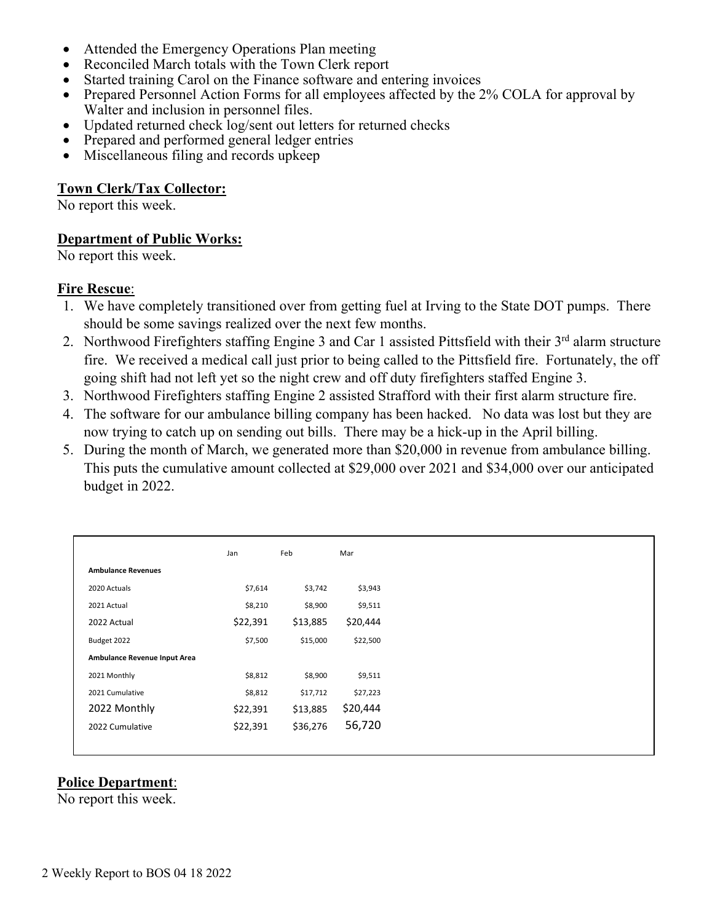- Attended the Emergency Operations Plan meeting
- Reconciled March totals with the Town Clerk report
- Started training Carol on the Finance software and entering invoices
- Prepared Personnel Action Forms for all employees affected by the 2% COLA for approval by Walter and inclusion in personnel files.
- Updated returned check log/sent out letters for returned checks
- Prepared and performed general ledger entries
- Miscellaneous filing and records upkeep

### **Town Clerk/Tax Collector:**

No report this week.

#### **Department of Public Works:**

No report this week.

#### **Fire Rescue**:

- 1. We have completely transitioned over from getting fuel at Irving to the State DOT pumps. There should be some savings realized over the next few months.
- 2. Northwood Firefighters staffing Engine 3 and Car 1 assisted Pittsfield with their  $3<sup>rd</sup>$  alarm structure fire. We received a medical call just prior to being called to the Pittsfield fire. Fortunately, the off going shift had not left yet so the night crew and off duty firefighters staffed Engine 3.
- 3. Northwood Firefighters staffing Engine 2 assisted Strafford with their first alarm structure fire.
- 4. The software for our ambulance billing company has been hacked. No data was lost but they are now trying to catch up on sending out bills. There may be a hick-up in the April billing.
- 5. During the month of March, we generated more than \$20,000 in revenue from ambulance billing. This puts the cumulative amount collected at \$29,000 over 2021 and \$34,000 over our anticipated budget in 2022.

|                              | Jan      | Feb      | Mar      |
|------------------------------|----------|----------|----------|
| <b>Ambulance Revenues</b>    |          |          |          |
| 2020 Actuals                 | \$7,614  | \$3,742  | \$3,943  |
| 2021 Actual                  | \$8,210  | \$8,900  | \$9,511  |
| 2022 Actual                  | \$22,391 | \$13,885 | \$20,444 |
| Budget 2022                  | \$7,500  | \$15,000 | \$22,500 |
| Ambulance Revenue Input Area |          |          |          |
| 2021 Monthly                 | \$8,812  | \$8,900  | \$9,511  |
| 2021 Cumulative              | \$8,812  | \$17,712 | \$27,223 |
| 2022 Monthly                 | \$22,391 | \$13,885 | \$20,444 |
| 2022 Cumulative              | \$22,391 | \$36,276 | 56,720   |
|                              |          |          |          |

## **Police Department**:

No report this week.